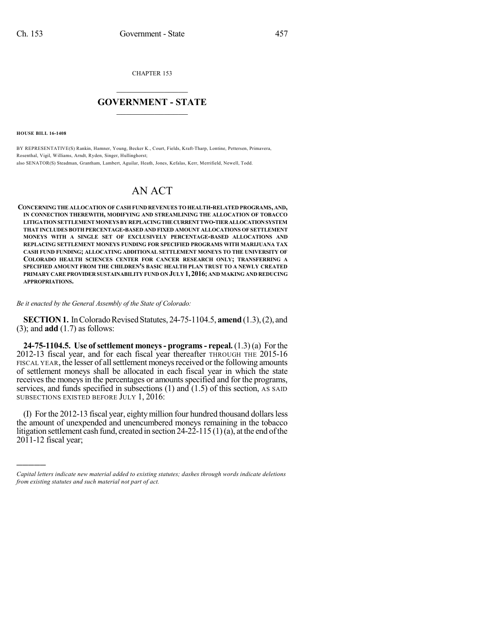CHAPTER 153

## $\mathcal{L}_\text{max}$  . The set of the set of the set of the set of the set of the set of the set of the set of the set of the set of the set of the set of the set of the set of the set of the set of the set of the set of the set **GOVERNMENT - STATE**  $\_$   $\_$   $\_$   $\_$   $\_$   $\_$   $\_$   $\_$   $\_$

**HOUSE BILL 16-1408**

)))))

BY REPRESENTATIVE(S) Rankin, Hamner, Young, Becker K., Court, Fields, Kraft-Tharp, Lontine, Pettersen, Primavera, Rosenthal, Vigil, Williams, Arndt, Ryden, Singer, Hullinghorst; also SENATOR(S) Steadman, Grantham, Lambert, Aguilar, Heath, Jones, Kefalas, Kerr, Merrifield, Newell, Todd.

# AN ACT

**CONCERNING THE ALLOCATION OF CASH FUND REVENUES TO HEALTH-RELATED PROGRAMS, AND, IN CONNECTION THEREWITH, MODIFYING AND STREAMLINING THE ALLOCATION OF TOBACCO LITIGATIONSETTLEMENTMONEYS BYREPLACINGTHECURRENTTWO-TIERALLOCATIONSYSTEM THAT INCLUDES BOTH PERCENTAGE-BASED AND FIXED AMOUNT ALLOCATIONS OF SETTLEMENT MONEYS WITH A SINGLE SET OF EXCLUSIVELY PERCENTAGE-BASED ALLOCATIONS AND REPLACING SETTLEMENT MONEYS FUNDING FOR SPECIFIED PROGRAMS WITH MARIJUANA TAX CASH FUND FUNDING; ALLOCATING ADDITIONAL SETTLEMENT MONEYS TO THE UNIVERSITY OF COLORADO HEALTH SCIENCES CENTER FOR CANCER RESEARCH ONLY; TRANSFERRING A SPECIFIED AMOUNT FROM THE CHILDREN'S BASIC HEALTH PLAN TRUST TO A NEWLY CREATED PRIMARY CARE PROVIDER SUSTAINABILITY FUND ON JULY 1, 2016; AND MAKING AND REDUCING APPROPRIATIONS.**

*Be it enacted by the General Assembly of the State of Colorado:*

**SECTION 1.** In Colorado Revised Statutes, 24-75-1104.5, **amend** (1.3), (2), and (3); and **add** (1.7) as follows:

**24-75-1104.5. Use ofsettlement moneys- programs- repeal.** (1.3) (a) For the 2012-13 fiscal year, and for each fiscal year thereafter THROUGH THE 2015-16 FISCAL YEAR, the lesser of all settlement moneys received or the following amounts of settlement moneys shall be allocated in each fiscal year in which the state receives the moneys in the percentages or amounts specified and for the programs, services, and funds specified in subsections  $(1)$  and  $(1.5)$  of this section, AS SAID SUBSECTIONS EXISTED BEFORE JULY 1, 2016:

(I) For the 2012-13 fiscal year, eighty million four hundred thousand dollars less the amount of unexpended and unencumbered moneys remaining in the tobacco litigation settlement cash fund, created in section  $24-22-115(1)(a)$ , at the end of the  $20\overline{1}$ 1-12 fiscal year;

*Capital letters indicate new material added to existing statutes; dashes through words indicate deletions from existing statutes and such material not part of act.*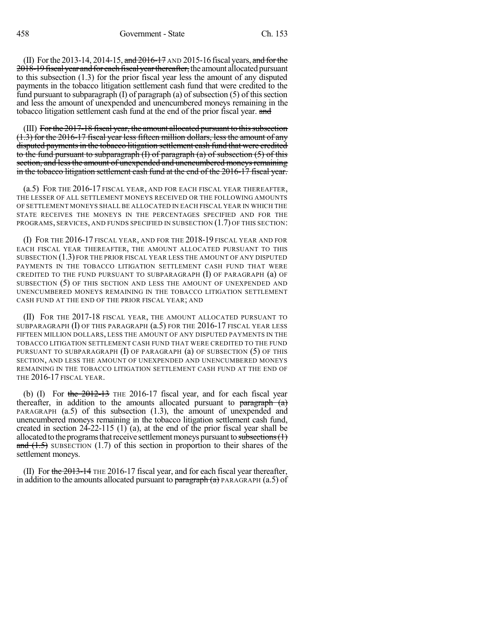(II) For the 2013-14, 2014-15, and  $\frac{2016-17}{2016-17}$  AND 2015-16 fiscal years, and for the 2018-19 fiscal year and for each fiscal year thereafter, the amount allocated pursuant to this subsection (1.3) for the prior fiscal year less the amount of any disputed payments in the tobacco litigation settlement cash fund that were credited to the fund pursuant to subparagraph  $(I)$  of paragraph  $(a)$  of subsection  $(5)$  of this section and less the amount of unexpended and unencumbered moneys remaining in the tobacco litigation settlement cash fund at the end of the prior fiscal year. and

(III) For the 2017-18 fiscal year, the amount allocated pursuant to this subsection (1.3) for the 2016-17 fiscal year less fifteen million dollars, less the amount of any disputed payments in the tobacco litigation settlement cash fund that were credited to the fund pursuant to subparagraph (I) of paragraph (a) of subsection (5) of this section, and less the amount of unexpended and unencumbered moneys remaining in the tobacco litigation settlement cash fund at the end of the 2016-17 fiscal year.

(a.5) FOR THE 2016-17 FISCAL YEAR, AND FOR EACH FISCAL YEAR THEREAFTER, THE LESSER OF ALL SETTLEMENT MONEYS RECEIVED OR THE FOLLOWING AMOUNTS OF SETTLEMENT MONEYS SHALL BE ALLOCATED IN EACH FISCAL YEAR IN WHICH THE STATE RECEIVES THE MONEYS IN THE PERCENTAGES SPECIFIED AND FOR THE PROGRAMS, SERVICES, AND FUNDS SPECIFIED IN SUBSECTION (1.7) OF THIS SECTION:

(I) FOR THE 2016-17 FISCAL YEAR, AND FOR THE 2018-19 FISCAL YEAR AND FOR EACH FISCAL YEAR THEREAFTER, THE AMOUNT ALLOCATED PURSUANT TO THIS SUBSECTION (1.3) FOR THE PRIOR FISCAL YEAR LESS THE AMOUNT OF ANY DISPUTED PAYMENTS IN THE TOBACCO LITIGATION SETTLEMENT CASH FUND THAT WERE CREDITED TO THE FUND PURSUANT TO SUBPARAGRAPH  $(I)$  OF PARAGRAPH  $(a)$  OF SUBSECTION (5) OF THIS SECTION AND LESS THE AMOUNT OF UNEXPENDED AND UNENCUMBERED MONEYS REMAINING IN THE TOBACCO LITIGATION SETTLEMENT CASH FUND AT THE END OF THE PRIOR FISCAL YEAR; AND

(II) FOR THE 2017-18 FISCAL YEAR, THE AMOUNT ALLOCATED PURSUANT TO SUBPARAGRAPH (I) OF THIS PARAGRAPH (a.5) FOR THE 2016-17 FISCAL YEAR LESS FIFTEEN MILLION DOLLARS, LESS THE AMOUNT OF ANY DISPUTED PAYMENTS IN THE TOBACCO LITIGATION SETTLEMENT CASH FUND THAT WERE CREDITED TO THE FUND PURSUANT TO SUBPARAGRAPH  $(I)$  OF PARAGRAPH  $(a)$  OF SUBSECTION  $(5)$  OF THIS SECTION, AND LESS THE AMOUNT OF UNEXPENDED AND UNENCUMBERED MONEYS REMAINING IN THE TOBACCO LITIGATION SETTLEMENT CASH FUND AT THE END OF THE 2016-17 FISCAL YEAR.

(b) (I) For the  $2012-13$  THE 2016-17 fiscal year, and for each fiscal year thereafter, in addition to the amounts allocated pursuant to  $\frac{\text{parameter}}{\text{ar}(\text{a})}$ PARAGRAPH  $(a.5)$  of this subsection  $(1.3)$ , the amount of unexpended and unencumbered moneys remaining in the tobacco litigation settlement cash fund, created in section 24-22-115 (1) (a), at the end of the prior fiscal year shall be allocated to the programs that receive settlement moneys pursuant to subsections  $(1)$ and  $(1.5)$  SUBSECTION (1.7) of this section in proportion to their shares of the settlement moneys.

(II) For the  $2013-14$  THE 2016-17 fiscal year, and for each fiscal year thereafter, in addition to the amounts allocated pursuant to  $\frac{\partial}{\partial x}$  PARAGRAPH (a.5) of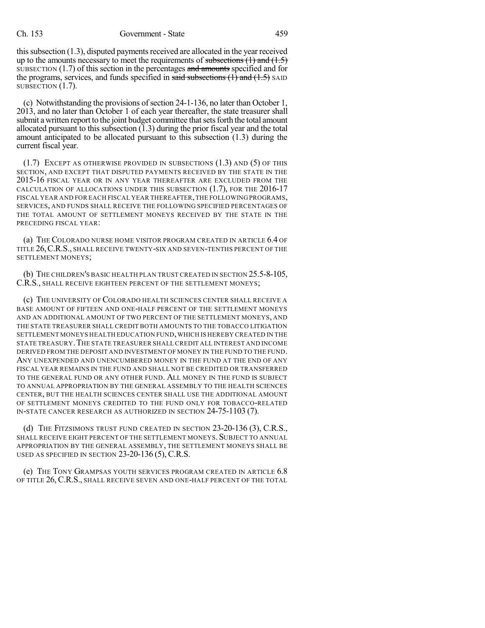this subsection  $(1.3)$ , disputed payments received are allocated in the year received up to the amounts necessary to meet the requirements of subsections  $(1)$  and  $(1.5)$ SUBSECTION  $(1.7)$  of this section in the percentages and amounts specified and for the programs, services, and funds specified in said subsections  $(1)$  and  $(1.5)$  SAID SUBSECTION  $(1.7)$ .

(c) Notwithstanding the provisions of section 24-1-136, no later than October 1, 2013, and no later than October 1 of each year thereafter, the state treasurer shall submit a written report to the joint budget committee that sets forth the total amount allocated pursuant to this subsection (1.3) during the prior fiscal year and the total amount anticipated to be allocated pursuant to this subsection (1.3) during the current fiscal year.

 $(1.7)$  EXCEPT AS OTHERWISE PROVIDED IN SUBSECTIONS  $(1.3)$  and  $(5)$  of this SECTION, AND EXCEPT THAT DISPUTED PAYMENTS RECEIVED BY THE STATE IN THE 2015-16 FISCAL YEAR OR IN ANY YEAR THEREAFTER ARE EXCLUDED FROM THE CALCULATION OF ALLOCATIONS UNDER THIS SUBSECTION (1.7), FOR THE 2016-17 FISCAL YEAR AND FOR EACH FISCAL YEAR THEREAFTER,THE FOLLOWINGPROGRAMS, SERVICES, AND FUNDS SHALL RECEIVE THE FOLLOWING SPECIFIED PERCENTAGES OF THE TOTAL AMOUNT OF SETTLEMENT MONEYS RECEIVED BY THE STATE IN THE PRECEDING FISCAL YEAR:

(a) THE COLORADO NURSE HOME VISITOR PROGRAM CREATED IN ARTICLE 6.4 OF TITLE 26, C.R.S., SHALL RECEIVE TWENTY-SIX AND SEVEN-TENTHS PERCENT OF THE SETTLEMENT MONEYS;

(b) THE CHILDREN'S BASIC HEALTH PLAN TRUST CREATED IN SECTION 25.5-8-105, C.R.S., SHALL RECEIVE EIGHTEEN PERCENT OF THE SETTLEMENT MONEYS;

(c) THE UNIVERSITY OF COLORADO HEALTH SCIENCES CENTER SHALL RECEIVE A BASE AMOUNT OF FIFTEEN AND ONE-HALF PERCENT OF THE SETTLEMENT MONEYS AND AN ADDITIONAL AMOUNT OF TWO PERCENT OF THE SETTLEMENT MONEYS, AND THE STATE TREASURER SHALL CREDIT BOTH AMOUNTS TO THE TOBACCO LITIGATION SETTLEMENT MONEYS HEALTH EDUCATION FUND,WHICH IS HEREBY CREATED IN THE STATE TREASURY.THE STATE TREASURER SHALL CREDIT ALL INTEREST AND INCOME DERIVED FROM THE DEPOSIT AND INVESTMENT OF MONEY IN THE FUND TO THE FUND. ANY UNEXPENDED AND UNENCUMBERED MONEY IN THE FUND AT THE END OF ANY FISCAL YEAR REMAINS IN THE FUND AND SHALL NOT BE CREDITED OR TRANSFERRED TO THE GENERAL FUND OR ANY OTHER FUND. ALL MONEY IN THE FUND IS SUBJECT TO ANNUAL APPROPRIATION BY THE GENERAL ASSEMBLY TO THE HEALTH SCIENCES CENTER, BUT THE HEALTH SCIENCES CENTER SHALL USE THE ADDITIONAL AMOUNT OF SETTLEMENT MONEYS CREDITED TO THE FUND ONLY FOR TOBACCO-RELATED IN-STATE CANCER RESEARCH AS AUTHORIZED IN SECTION 24-75-1103 (7).

(d) THE FITZSIMONS TRUST FUND CREATED IN SECTION 23-20-136 (3), C.R.S., SHALL RECEIVE EIGHT PERCENT OF THE SETTLEMENT MONEYS. SUBJECT TO ANNUAL APPROPRIATION BY THE GENERAL ASSEMBLY, THE SETTLEMENT MONEYS SHALL BE USED AS SPECIFIED IN SECTION 23-20-136 (5), C.R.S.

(e) THE TONY GRAMPSAS YOUTH SERVICES PROGRAM CREATED IN ARTICLE 6.8 OF TITLE 26, C.R.S., SHALL RECEIVE SEVEN AND ONE-HALF PERCENT OF THE TOTAL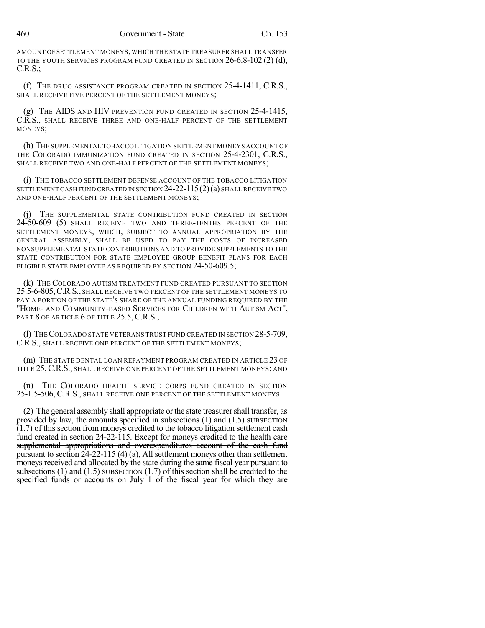AMOUNT OF SETTLEMENT MONEYS, WHICH THE STATE TREASURER SHALL TRANSFER TO THE YOUTH SERVICES PROGRAM FUND CREATED IN SECTION  $26-6.8-102(2)$  (d), C.R.S.;

(f) THE DRUG ASSISTANCE PROGRAM CREATED IN SECTION 25-4-1411, C.R.S., SHALL RECEIVE FIVE PERCENT OF THE SETTLEMENT MONEYS;

(g) THE AIDS AND HIV PREVENTION FUND CREATED IN SECTION 25-4-1415, C.R.S., SHALL RECEIVE THREE AND ONE-HALF PERCENT OF THE SETTLEMENT MONEYS;

(h) THE SUPPLEMENTAL TOBACCO LITIGATION SETTLEMENT MONEYS ACCOUNT OF THE COLORADO IMMUNIZATION FUND CREATED IN SECTION 25-4-2301, C.R.S., SHALL RECEIVE TWO AND ONE-HALF PERCENT OF THE SETTLEMENT MONEYS;

(i) THE TOBACCO SETTLEMENT DEFENSE ACCOUNT OF THE TOBACCO LITIGATION SETTLEMENT CASH FUND CREATED IN SECTION 24-22-115(2)(a) SHALLRECEIVE TWO AND ONE-HALF PERCENT OF THE SETTLEMENT MONEYS;

(j) THE SUPPLEMENTAL STATE CONTRIBUTION FUND CREATED IN SECTION 24-50-609 (5) SHALL RECEIVE TWO AND THREE-TENTHS PERCENT OF THE SETTLEMENT MONEYS, WHICH, SUBJECT TO ANNUAL APPROPRIATION BY THE GENERAL ASSEMBLY, SHALL BE USED TO PAY THE COSTS OF INCREASED NONSUPPLEMENTAL STATE CONTRIBUTIONS AND TO PROVIDE SUPPLEMENTS TO THE STATE CONTRIBUTION FOR STATE EMPLOYEE GROUP BENEFIT PLANS FOR EACH ELIGIBLE STATE EMPLOYEE AS REQUIRED BY SECTION 24-50-609.5;

(k) THE COLORADO AUTISM TREATMENT FUND CREATED PURSUANT TO SECTION 25.5-6-805,C.R.S., SHALL RECEIVE TWO PERCENT OF THE SETTLEMENT MONEYS TO PAY A PORTION OF THE STATE'S SHARE OF THE ANNUAL FUNDING REQUIRED BY THE "HOME- AND COMMUNITY-BASED SERVICES FOR CHILDREN WITH AUTISM ACT", PART 8 OF ARTICLE 6 OF TITLE 25.5, C.R.S.;

(l) THECOLORADO STATE VETERANS TRUST FUND CREATED IN SECTION 28-5-709, C.R.S., SHALL RECEIVE ONE PERCENT OF THE SETTLEMENT MONEYS;

(m) THE STATE DENTAL LOAN REPAYMENT PROGRAM CREATED IN ARTICLE 23 OF TITLE 25, C.R.S., SHALL RECEIVE ONE PERCENT OF THE SETTLEMENT MONEYS; AND

(n) THE COLORADO HEALTH SERVICE CORPS FUND CREATED IN SECTION 25-1.5-506, C.R.S., SHALL RECEIVE ONE PERCENT OF THE SETTLEMENT MONEYS.

(2) The general assembly shall appropriate or the state treasurer shall transfer, as provided by law, the amounts specified in subsections  $(1)$  and  $(1.5)$  SUBSECTION (1.7) of this section from moneys credited to the tobacco litigation settlement cash fund created in section 24-22-115. Except for moneys credited to the health care supplemental appropriations and overexpenditures account of the cash fund pursuant to section  $24-22-115(4)(a)$ , All settlement moneys other than settlement moneys received and allocated by the state during the same fiscal year pursuant to subsections  $(1)$  and  $(1.5)$  SUBSECTION  $(1.7)$  of this section shall be credited to the specified funds or accounts on July 1 of the fiscal year for which they are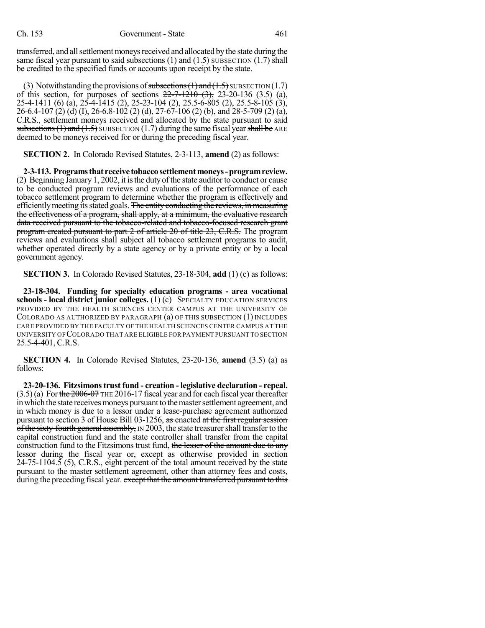transferred, and all settlement moneys received and allocated by the state during the same fiscal year pursuant to said subsections  $(1)$  and  $(1.5)$  SUBSECTION  $(1.7)$  shall be credited to the specified funds or accounts upon receipt by the state.

(3) Notwithstanding the provisions of subsections  $(1)$  and  $(1.5)$  SUBSECTION  $(1.7)$ of this section, for purposes of sections  $22-7-1210$  (3),  $23-20-136$  (3.5) (a), 25-4-1411 (6) (a), 25-4-1415 (2), 25-23-104 (2), 25.5-6-805 (2), 25.5-8-105 (3), 26-6.4-107 (2) (d) (I), 26-6.8-102 (2) (d), 27-67-106 (2) (b), and 28-5-709 (2) (a), C.R.S., settlement moneys received and allocated by the state pursuant to said subsections  $(1)$  and  $(1.5)$  SUBSECTION  $(1.7)$  during the same fiscal year shall be ARE deemed to be moneys received for or during the preceding fiscal year.

**SECTION 2.** In Colorado Revised Statutes, 2-3-113, **amend** (2) as follows:

**2-3-113. Programsthat receive tobaccosettlementmoneys-programreview.**  $(2)$  Beginning January 1, 2002, it is the duty of the state auditor to conduct or cause to be conducted program reviews and evaluations of the performance of each tobacco settlement program to determine whether the program is effectively and efficiently meeting its stated goals. The entity conducting the reviews, in measuring the effectiveness of a program, shall apply, at a minimum, the evaluative research data received pursuant to the tobacco-related and tobacco-focused research grant program created pursuant to part 2 of article 20 of title 23, C.R.S. The program reviews and evaluations shall subject all tobacco settlement programs to audit, whether operated directly by a state agency or by a private entity or by a local government agency.

**SECTION 3.** In Colorado Revised Statutes, 23-18-304, **add** (1) (c) as follows:

**23-18-304. Funding for specialty education programs - area vocational schools - local district junior colleges.** (1) (c) SPECIALTY EDUCATION SERVICES PROVIDED BY THE HEALTH SCIENCES CENTER CAMPUS AT THE UNIVERSITY OF COLORADO AS AUTHORIZED BY PARAGRAPH (a) OF THIS SUBSECTION (1) INCLUDES CARE PROVIDED BY THE FACULTY OF THE HEALTH SCIENCES CENTER CAMPUS AT THE UNIVERSITY OF COLORADO THAT ARE ELIGIBLE FOR PAYMENT PURSUANT TO SECTION 25.5-4-401, C.R.S.

**SECTION 4.** In Colorado Revised Statutes, 23-20-136, **amend** (3.5) (a) as follows:

**23-20-136. Fitzsimonstrust fund - creation - legislative declaration - repeal.**  $(3.5)(a)$  For the 2006-07 THE 2016-17 fiscal year and for each fiscal year thereafter in which the state receives moneys pursuant to the master settlement agreement, and in which money is due to a lessor under a lease-purchase agreement authorized pursuant to section 3 of House Bill 03-1256, as enacted at the first regular session of the sixty-fourth general assembly,  $IN$  2003, the state treasurer shall transfer to the capital construction fund and the state controller shall transfer from the capital construction fund to the Fitzsimons trust fund, the lesser of the amount due to any lessor during the fiscal year or, except as otherwise provided in section  $24-75-1104.5$  (5), C.R.S., eight percent of the total amount received by the state pursuant to the master settlement agreement, other than attorney fees and costs, during the preceding fiscal year. except that the amount transferred pursuant to this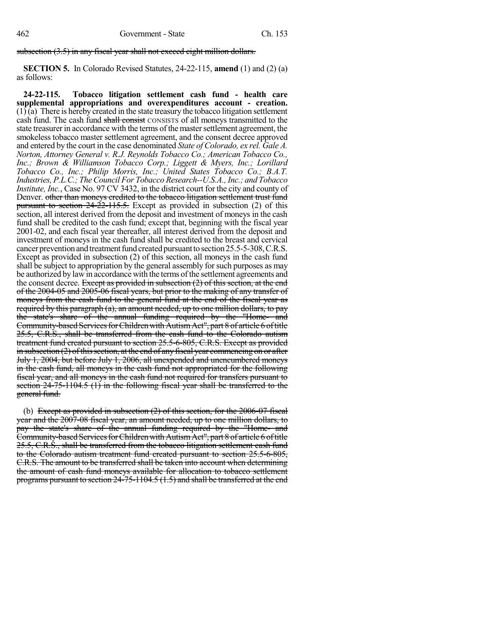### subsection (3.5) in any fiscal year shall not exceed eight million dollars.

**SECTION 5.** In Colorado Revised Statutes, 24-22-115, **amend** (1) and (2) (a) as follows:

**24-22-115. Tobacco litigation settlement cash fund - health care supplemental appropriations and overexpenditures account - creation.**  $(1)$  (a) There is hereby created in the state treasury the tobacco litigation settlement cash fund. The cash fund shall consist CONSISTS of all moneys transmitted to the state treasurer in accordance with the terms of the master settlement agreement, the smokeless tobacco master settlement agreement, and the consent decree approved and entered by the court in the case denominated *State of Colorado, ex rel. Gale A. Norton, Attorney General v. R.J. Reynolds Tobacco Co.; American Tobacco Co., Inc.; Brown & Williamson Tobacco Corp.; Liggett & Myers, Inc.; Lorillard Tobacco Co., Inc.; Philip Morris, Inc.; United States Tobacco Co.; B.A.T. Industries, P.L.C.; TheCouncil For Tobacco Research--U.S.A., Inc.; and Tobacco Institute, Inc.*, Case No. 97 CV 3432, in the district court for the city and county of Denver. other than moneys credited to the tobacco litigation settlement trust fund pursuant to section 24-22-115.5. Except as provided in subsection (2) of this section, all interest derived from the deposit and investment of moneys in the cash fund shall be credited to the cash fund; except that, beginning with the fiscal year 2001-02, and each fiscal year thereafter, all interest derived from the deposit and investment of moneys in the cash fund shall be credited to the breast and cervical cancer prevention and treatment fund created pursuant to section 25.5-5-308, C.R.S. Except as provided in subsection (2) of this section, all moneys in the cash fund shall be subject to appropriation by the general assembly for such purposes as may be authorized by law in accordance with the terms of the settlement agreements and the consent decree. Except as provided in subsection (2) of this section, at the end of the 2004-05 and 2005-06 fiscal years, but prior to the making of any transfer of moneys from the cash fund to the general fund at the end of the fiscal year as required by this paragraph (a), an amount needed, up to one million dollars, to pay the state's share of the annual funding required by the "Home- and Community-based Services for Children with Autism Act", part 8 of article 6 of title 25.5, C.R.S., shall be transferred from the cash fund to the Colorado autism treatment fund created pursuant to section 25.5-6-805, C.R.S. Except as provided in subsection  $(2)$  of this section, at the end of any fiscal year commencing on or after July 1, 2004, but before July 1, 2006, all unexpended and unencumbered moneys in the cash fund, all moneys in the cash fund not appropriated for the following fiscal year, and all moneys in the cash fund not required for transfers pursuant to section 24-75-1104.5 (1) in the following fiscal year shall be transferred to the general fund.

(b) Except as provided in subsection (2) of this section, for the 2006-07 fiscal year and the 2007-08 fiscal year, an amount needed, up to one million dollars, to pay the state's share of the annual funding required by the "Home- and Community-based Services for Children with Autism Act", part 8 of article 6 of title 25.5, C.R.S., shall be transferred from the tobacco litigation settlement cash fund to the Colorado autism treatment fund created pursuant to section 25.5-6-805, C.R.S. The amount to be transferred shall be taken into account when determining the amount of cash fund moneys available for allocation to tobacco settlement programs pursuant to section  $24-75-1104.5(1.5)$  and shall be transferred at the end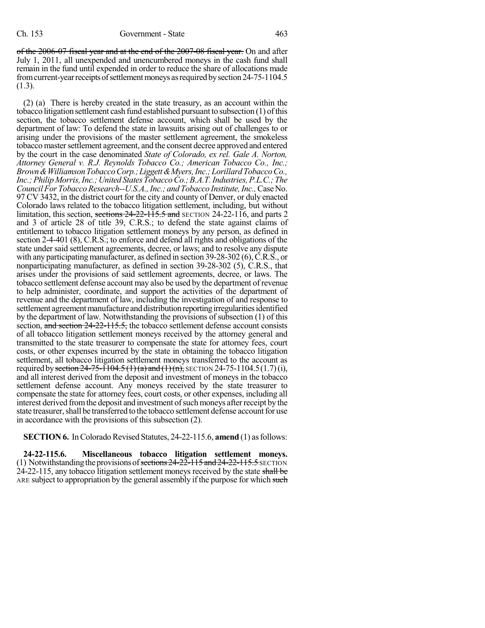of the 2006-07 fiscal year and at the end of the 2007-08 fiscal year. On and after July 1, 2011, all unexpended and unencumbered moneys in the cash fund shall remain in the fund until expended in order to reduce the share of allocations made from current-year receipts of settlement moneys as required by section 24-75-1104.5 (1.3).

(2) (a) There is hereby created in the state treasury, as an account within the tobacco litigation settlement cash fund established pursuant to subsection (1) ofthis section, the tobacco settlement defense account, which shall be used by the department of law: To defend the state in lawsuits arising out of challenges to or arising under the provisions of the master settlement agreement, the smokeless tobacco mastersettlement agreement, and the consent decree approved and entered by the court in the case denominated *State of Colorado, ex rel. Gale A. Norton, Attorney General v. R.J. Reynolds Tobacco Co.; American Tobacco Co., Inc.; Brown&WilliamsonTobaccoCorp.;Liggett&Myers,Inc.;LorillardTobaccoCo., Inc.;Philip Morris,Inc.;United StatesTobaccoCo.;B.A.T.Industries,P.L.C.; The Council For Tobacco Research--U.S.A., Inc.; and Tobacco Institute, Inc., Case No.* 97 CV 3432, in the district court for the city and county of Denver, or duly enacted Colorado laws related to the tobacco litigation settlement, including, but without limitation, this section, sections  $24-22-115.5$  and SECTION 24-22-116, and parts 2 and 3 of article 28 of title 39, C.R.S.; to defend the state against claims of entitlement to tobacco litigation settlement moneys by any person, as defined in section 2-4-401 (8), C.R.S.; to enforce and defend all rights and obligations of the state under said settlement agreements, decree, or laws; and to resolve any dispute with any participating manufacturer, as defined in section 39-28-302 (6), C.R.S., or nonparticipating manufacturer, as defined in section 39-28-302 (5), C.R.S., that arises under the provisions of said settlement agreements, decree, or laws. The tobacco settlement defense account may also be used by the department of revenue to help administer, coordinate, and support the activities of the department of revenue and the department of law, including the investigation of and response to settlement agreement manufacture and distribution reporting irregularities identified by the department of law. Notwithstanding the provisions of subsection (1) of this section, and section 24-22-115.5, the tobacco settlement defense account consists of all tobacco litigation settlement moneys received by the attorney general and transmitted to the state treasurer to compensate the state for attorney fees, court costs, or other expenses incurred by the state in obtaining the tobacco litigation settlement, all tobacco litigation settlement moneys transferred to the account as required by section 24-75-1104.5  $(1)(a)$  and  $(1)(n)$ , SECTION 24-75-1104.5  $(1.7)(i)$ , and all interest derived from the deposit and investment of moneys in the tobacco settlement defense account. Any moneys received by the state treasurer to compensate the state for attorney fees, court costs, or other expenses, including all interest derived from the deposit and investment of such moneys after receipt by the state treasurer, shall be transferred to the tobacco settlement defense account for use in accordance with the provisions of this subsection (2).

**SECTION 6.** In Colorado Revised Statutes, 24-22-115.6, **amend** (1) as follows:

**24-22-115.6. Miscellaneous tobacco litigation settlement moneys.** (1) Notwithstanding the provisions of sections  $24-22-115$  and  $24-22-115.5$  SECTION  $24-22-115$ , any tobacco litigation settlement moneys received by the state shall be ARE subject to appropriation by the general assembly if the purpose for which such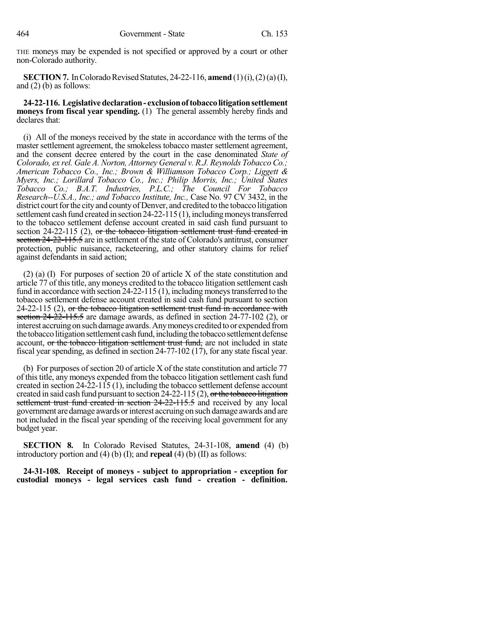THE moneys may be expended is not specified or approved by a court or other non-Colorado authority.

**SECTION 7.** In Colorado Revised Statutes, 24-22-116, **amend** (1)(i), (2)(a)(I), and (2) (b) as follows:

**24-22-116. Legislativedeclaration- exclusionoftobaccolitigationsettlement moneys from fiscal year spending.** (1) The general assembly hereby finds and declares that:

(i) All of the moneys received by the state in accordance with the terms of the master settlement agreement, the smokeless tobacco master settlement agreement, and the consent decree entered by the court in the case denominated *State of Colorado, ex rel. Gale A. Norton, Attorney General v. R.J. Reynolds Tobacco Co.; American Tobacco Co., Inc.; Brown & Williamson Tobacco Corp.; Liggett & Myers, Inc.; Lorillard Tobacco Co., Inc.; Philip Morris, Inc.; United States Tobacco Co.; B.A.T. Industries, P.L.C.; The Council For Tobacco Research--U.S.A., Inc.; and Tobacco Institute, Inc.,* Case No. 97 CV 3432, in the district court for the city and county of Denver, and credited to the tobacco litigation settlement cash fund created in section  $24-22-115(1)$ , including moneys transferred to the tobacco settlement defense account created in said cash fund pursuant to section  $24-22-115$  (2), or the tobacco-litigation settlement trust fund created in section 24-22-115.5 are in settlement of the state of Colorado's antitrust, consumer protection, public nuisance, racketeering, and other statutory claims for relief against defendants in said action;

(2) (a) (I) For purposes of section 20 of article X of the state constitution and article 77 of this title, any moneys credited to the tobacco litigation settlement cash fund in accordance with section  $24-22-115(1)$ , including moneys transferred to the tobacco settlement defense account created in said cash fund pursuant to section  $24-22-115$  (2), or the tobacco litigation settlement trust fund in accordance with section 24-22-115.5 are damage awards, as defined in section 24-77-102 (2), or interest accruing on such damage awards. Any moneys credited to or expended from the tobaccolitigation settlement cash fund, including the tobacco settlement defense account, or the tobacco litigation settlement trust fund, are not included in state fiscal year spending, as defined in section 24-77-102 (17), for any state fiscal year.

(b) For purposes of section 20 of article X of the state constitution and article  $77$ of thistitle, any moneys expended from the tobacco litigation settlement cash fund created in section 24-22-115 (1), including the tobacco settlement defense account created in said cash fund pursuant to section 24-22-115 (2), or the tobacco litigation settlement trust fund created in section 24-22-115.5 and received by any local government are damage awards orinterest accruing on such damage awards and are not included in the fiscal year spending of the receiving local government for any budget year.

**SECTION 8.** In Colorado Revised Statutes, 24-31-108, **amend** (4) (b) introductory portion and (4) (b) (I); and **repeal** (4) (b) (II) as follows:

**24-31-108. Receipt of moneys - subject to appropriation - exception for custodial moneys - legal services cash fund - creation - definition.**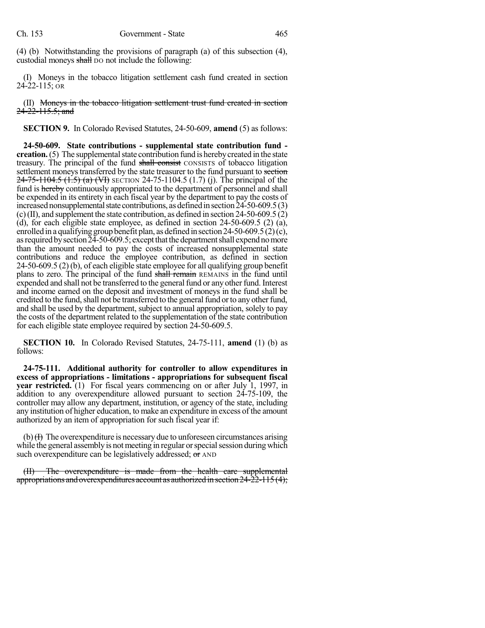(4) (b) Notwithstanding the provisions of paragraph (a) of this subsection (4), custodial moneys shall bo not include the following:

(I) Moneys in the tobacco litigation settlement cash fund created in section 24-22-115; OR

(II) Moneys in the tobacco litigation settlement trust fund created in section 24-22-115.5; and

**SECTION 9.** In Colorado Revised Statutes, 24-50-609, **amend** (5) as follows:

**24-50-609. State contributions - supplemental state contribution fund creation.** (5) The supplemental state contribution fund is hereby created in the state treasury. The principal of the fund shall consist CONSISTS of tobacco litigation settlement moneys transferred by the state treasurer to the fund pursuant to section  $24-75-1104.5$  (1.5) (a) (VI) SECTION 24-75-1104.5 (1.7) (j). The principal of the fund is hereby continuously appropriated to the department of personnel and shall be expended in its entirety in each fiscal year by the department to pay the costs of increased nonsupplemental state contributions, as defined in section  $24-50-609.5(3)$  $(c)$  (II), and supplement the state contribution, as defined in section 24-50-609.5  $(2)$ (d), for each eligible state employee, as defined in section 24-50-609.5 (2) (a), enrolled in a qualifying group benefit plan, as defined in section 24-50-609.5  $(2)(c)$ , as required by section 24-50-609.5; except that the department shall expend no more than the amount needed to pay the costs of increased nonsupplemental state contributions and reduce the employee contribution, as defined in section 24-50-609.5 (2) (b), of each eligible state employee for all qualifying group benefit plans to zero. The principal of the fund shall remain REMAINS in the fund until expended and shall not be transferred to the general fund or any other fund. Interest and income earned on the deposit and investment of moneys in the fund shall be credited to the fund, shall not be transferred to the general fund or to any other fund, and shall be used by the department, subject to annual appropriation, solely to pay the costs of the department related to the supplementation of the state contribution for each eligible state employee required by section 24-50-609.5.

**SECTION 10.** In Colorado Revised Statutes, 24-75-111, **amend** (1) (b) as follows:

**24-75-111. Additional authority for controller to allow expenditures in excess of appropriations - limitations - appropriations for subsequent fiscal year restricted.** (1) For fiscal years commencing on or after July 1, 1997, in addition to any overexpenditure allowed pursuant to section 24-75-109, the controller may allow any department, institution, or agency of the state, including any institution of higher education, to make an expenditure in excess of the amount authorized by an item of appropriation for such fiscal year if:

 $(b)$   $\leftrightarrow$  The overexpenditure is necessary due to unforeseen circumstances arising while the general assembly is not meeting in regular or special session during which such overexpenditure can be legislatively addressed;  $\sigma$  AND

(II) The overexpenditure is made from the health care supplemental appropriations and overexpenditures account as authorized in section  $24\overline{-22}\overline{-115(4)}$ ;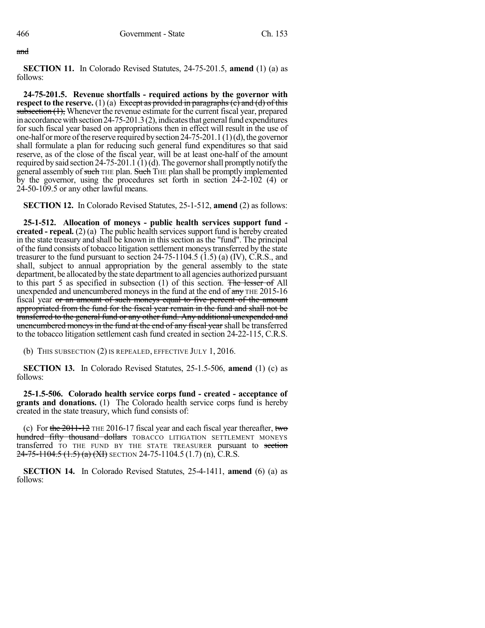#### and

**SECTION 11.** In Colorado Revised Statutes, 24-75-201.5, **amend** (1) (a) as follows:

**24-75-201.5. Revenue shortfalls - required actions by the governor with respect** to the **reserve.** (1) (a) Except as provided in paragraphs (c) and (d) of this subsection (1), Whenever the revenue estimate for the current fiscal year, prepared in accordance with section 24-75-201.3(2), indicates that general fund expenditures for such fiscal year based on appropriations then in effect will result in the use of one-half or more of the reserve required by section 24-75-201.1(1)(d), the governor shall formulate a plan for reducing such general fund expenditures so that said reserve, as of the close of the fiscal year, will be at least one-half of the amount required by said section  $24-75-201.1$  (1)(d). The governor shall promptly notify the general assembly of such THE plan. Such THE plan shall be promptly implemented by the governor, using the procedures set forth in section 24-2-102 (4) or 24-50-109.5 or any other lawful means.

**SECTION 12.** In Colorado Revised Statutes, 25-1-512, **amend** (2) as follows:

**25-1-512. Allocation of moneys - public health services support fund created - repeal.** (2) (a) The public health services support fund is hereby created in the state treasury and shall be known in this section as the "fund". The principal of the fund consists of tobacco litigation settlement moneystransferred by the state treasurer to the fund pursuant to section 24-75-1104.5 (1.5) (a) (IV), C.R.S., and shall, subject to annual appropriation by the general assembly to the state department, be allocated by the state department to all agencies authorized pursuant to this part 5 as specified in subsection (1) of this section. The lesser of All unexpended and unencumbered moneys in the fund at the end of  $\frac{a}{a}$  THE 2015-16 fiscal year or an amount of such moneys equal to five percent of the amount appropriated from the fund for the fiscal year remain in the fund and shall not be transferred to the general fund or any other fund. Any additional unexpended and unencumbered moneys in the fund at the end of any fiscal year shall be transferred to the tobacco litigation settlement cash fund created in section 24-22-115, C.R.S.

(b) THIS SUBSECTION (2) IS REPEALED, EFFECTIVE JULY 1, 2016.

**SECTION 13.** In Colorado Revised Statutes, 25-1.5-506, **amend** (1) (c) as follows:

**25-1.5-506. Colorado health service corps fund - created - acceptance of grants and donations.** (1) The Colorado health service corps fund is hereby created in the state treasury, which fund consists of:

(c) For the  $2011-12$  THE 2016-17 fiscal year and each fiscal year thereafter, two hundred fifty thousand dollars TOBACCO LITIGATION SETTLEMENT MONEYS transferred TO THE FUND BY THE STATE TREASURER pursuant to section 24-75-1104.5 (1.5) (a) (XI) SECTION 24-75-1104.5 (1.7) (n), C.R.S.

**SECTION 14.** In Colorado Revised Statutes, 25-4-1411, **amend** (6) (a) as follows: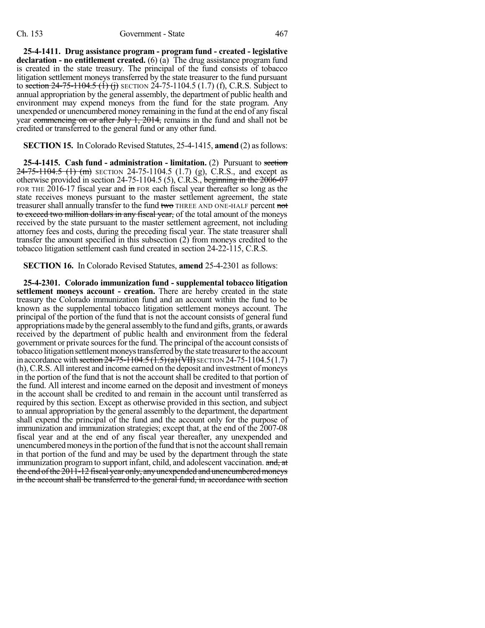**25-4-1411. Drug assistance program - program fund - created - legislative declaration - no entitlement created.** (6) (a) The drug assistance program fund is created in the state treasury. The principal of the fund consists of tobacco litigation settlement moneys transferred by the state treasurer to the fund pursuant to section  $24-75-1104.5$  (1) (i) SECTION 24-75-1104.5 (1.7) (f), C.R.S. Subject to annual appropriation by the general assembly, the department of public health and environment may expend moneys from the fund for the state program. Any unexpended or unencumbered money remaining in the fund at the end of any fiscal year commencing on or after July 1, 2014, remains in the fund and shall not be credited or transferred to the general fund or any other fund.

**SECTION 15.** In Colorado Revised Statutes, 25-4-1415, **amend** (2) as follows:

**25-4-1415. Cash fund - administration - limitation.** (2) Pursuant to section  $24-75-1104.5$  (1) (m) SECTION 24-75-1104.5 (1.7) (g), C.R.S., and except as otherwise provided in section 24-75-1104.5 (5), C.R.S., beginning in the 2006-07 FOR THE 2016-17 fiscal year and in FOR each fiscal year thereafter so long as the state receives moneys pursuant to the master settlement agreement, the state treasurer shall annually transfer to the fund two THREE AND ONE-HALF percent not to exceed two million dollars in any fiscal year, of the total amount of the moneys received by the state pursuant to the master settlement agreement, not including attorney fees and costs, during the preceding fiscal year. The state treasurer shall transfer the amount specified in this subsection (2) from moneys credited to the tobacco litigation settlement cash fund created in section 24-22-115, C.R.S.

**SECTION 16.** In Colorado Revised Statutes, **amend** 25-4-2301 as follows:

**25-4-2301. Colorado immunization fund - supplemental tobacco litigation settlement moneys account - creation.** There are hereby created in the state treasury the Colorado immunization fund and an account within the fund to be known as the supplemental tobacco litigation settlement moneys account. The principal of the portion of the fund that is not the account consists of general fund appropriations made by the general assembly to the fund and gifts, grants, or awards received by the department of public health and environment from the federal government or private sources for the fund. The principal of the account consists of tobacco litigation settlement moneys transferred by the state treasurer to the account in accordance with section  $24-75-1104.5$   $(1.5)(a)$  (VII) SECTION 24-75-1104.5(1.7) (h),C.R.S. All interest and income earned on the deposit and investment of moneys in the portion of the fund that is not the account shall be credited to that portion of the fund. All interest and income earned on the deposit and investment of moneys in the account shall be credited to and remain in the account until transferred as required by this section. Except as otherwise provided in this section, and subject to annual appropriation by the general assembly to the department, the department shall expend the principal of the fund and the account only for the purpose of immunization and immunization strategies; except that, at the end of the 2007-08 fiscal year and at the end of any fiscal year thereafter, any unexpended and unencumbered moneys in the portion of the fund that is not the account shall remain in that portion of the fund and may be used by the department through the state immunization program to support infant, child, and adolescent vaccination. and, at the end of the 2011-12 fiscal year only, any unexpended and unencumbered moneys in the account shall be transferred to the general fund, in accordance with section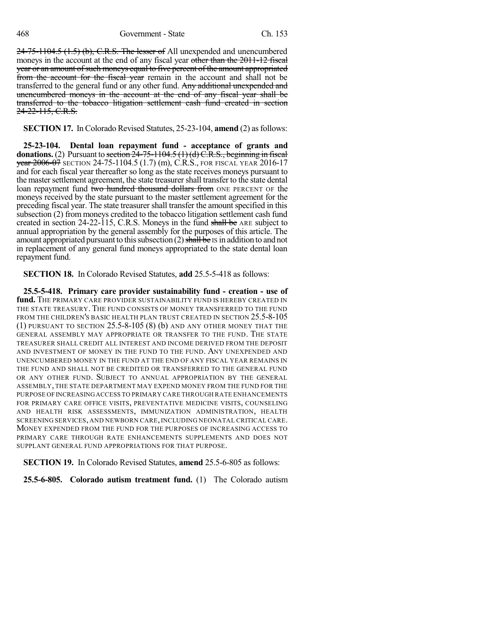24-75-1104.5 (1.5) (b), C.R.S. The lesser of All unexpended and unencumbered moneys in the account at the end of any fiscal year other than the 2011-12 fiscal year or an amount of such moneys equal to five percent of the amount appropriated from the account for the fiscal year remain in the account and shall not be transferred to the general fund or any other fund. Any additional unexpended and unencumbered moneys in the account at the end of any fiscal year shall be transferred to the tobacco litigation settlement cash fund created in section 24-22-115, C.R.S.

**SECTION 17.** In Colorado Revised Statutes, 25-23-104, **amend** (2) as follows:

**25-23-104. Dental loan repayment fund - acceptance of grants and donations.** (2) Pursuant to section  $24-75-1104.5$  (1)(d)  $C.R.S.,$  beginning in fiscal year 2006-07 SECTION 24-75-1104.5 (1.7) (m), C.R.S., FOR FISCAL YEAR 2016-17 and for each fiscal year thereafter so long as the state receives moneys pursuant to the master settlement agreement, the state treasurer shall transfer to the state dental loan repayment fund two hundred thousand dollars from ONE PERCENT OF the moneys received by the state pursuant to the master settlement agreement for the preceding fiscal year. The state treasurer shall transfer the amount specified in this subsection (2) from moneys credited to the tobacco litigation settlement cash fund created in section 24-22-115, C.R.S. Moneys in the fund shall be ARE subject to annual appropriation by the general assembly for the purposes of this article. The amount appropriated pursuant to this subsection  $(2)$  shall be IS in addition to and not in replacement of any general fund moneys appropriated to the state dental loan repayment fund.

**SECTION 18.** In Colorado Revised Statutes, **add** 25.5-5-418 as follows:

**25.5-5-418. Primary care provider sustainability fund - creation - use of** fund. The PRIMARY CARE PROVIDER SUSTAINABILITY FUND IS HEREBY CREATED IN THE STATE TREASURY. THE FUND CONSISTS OF MONEY TRANSFERRED TO THE FUND FROM THE CHILDREN'S BASIC HEALTH PLAN TRUST CREATED IN SECTION 25.5-8-105 (1) PURSUANT TO SECTION 25.5-8-105 (8) (b) AND ANY OTHER MONEY THAT THE GENERAL ASSEMBLY MAY APPROPRIATE OR TRANSFER TO THE FUND. THE STATE TREASURER SHALL CREDIT ALL INTEREST AND INCOME DERIVED FROM THE DEPOSIT AND INVESTMENT OF MONEY IN THE FUND TO THE FUND. ANY UNEXPENDED AND UNENCUMBERED MONEY IN THE FUND AT THE END OF ANY FISCAL YEAR REMAINS IN THE FUND AND SHALL NOT BE CREDITED OR TRANSFERRED TO THE GENERAL FUND OR ANY OTHER FUND. SUBJECT TO ANNUAL APPROPRIATION BY THE GENERAL ASSEMBLY, THE STATE DEPARTMENT MAY EXPEND MONEY FROM THE FUND FOR THE PURPOSE OFINCREASINGACCESS TO PRIMARY CARE THROUGH RATE ENHANCEMENTS FOR PRIMARY CARE OFFICE VISITS, PREVENTATIVE MEDICINE VISITS, COUNSELING AND HEALTH RISK ASSESSMENTS, IMMUNIZATION ADMINISTRATION, HEALTH SCREENING SERVICES, AND NEWBORN CARE, INCLUDING NEONATAL CRITICAL CARE. MONEY EXPENDED FROM THE FUND FOR THE PURPOSES OF INCREASING ACCESS TO PRIMARY CARE THROUGH RATE ENHANCEMENTS SUPPLEMENTS AND DOES NOT SUPPLANT GENERAL FUND APPROPRIATIONS FOR THAT PURPOSE.

**SECTION 19.** In Colorado Revised Statutes, **amend** 25.5-6-805 as follows:

**25.5-6-805. Colorado autism treatment fund.** (1) The Colorado autism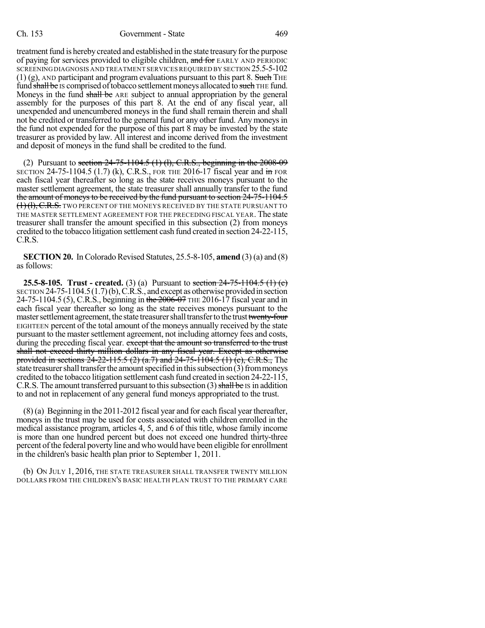#### Ch. 153 Government - State 469

treatment fund is hereby created and established in the state treasury for the purpose of paying for services provided to eligible children, and for EARLY AND PERIODIC SCREENINGDIAGNOSIS AND TREATMENT SERVICES REQUIRED BY SECTION 25.5-5-102  $(1)$  (g), AND participant and program evaluations pursuant to this part 8. Such THE fund shall be IS comprised of tobacco settlement moneys allocated to such THE fund. Moneys in the fund shall be ARE subject to annual appropriation by the general assembly for the purposes of this part 8. At the end of any fiscal year, all unexpended and unencumbered moneys in the fund shall remain therein and shall not be credited or transferred to the general fund or any other fund. Any moneys in the fund not expended for the purpose of this part 8 may be invested by the state treasurer as provided by law. All interest and income derived from the investment and deposit of moneys in the fund shall be credited to the fund.

(2) Pursuant to section  $24-75-1104.5$  (1) (1), C.R.S., beginning in the  $2008-09$ SECTION 24-75-1104.5 (1.7) (k), C.R.S., FOR THE 2016-17 fiscal year and  $\frac{1}{10}$  FOR each fiscal year thereafter so long as the state receives moneys pursuant to the master settlement agreement, the state treasurer shall annually transfer to the fund the amount of moneys to be received by the fund pursuant to section 24-75-1104.5  $(1)(l), C.R.S.$  TWO PERCENT OF THE MONEYS RECEIVED BY THE STATE PURSUANT TO THE MASTER SETTLEMENT AGREEMENT FOR THE PRECEDING FISCAL YEAR. The state treasurer shall transfer the amount specified in this subsection (2) from moneys credited to the tobacco litigation settlement cash fund created in section 24-22-115, C.R.S.

**SECTION 20.** In Colorado Revised Statutes, 25.5-8-105, **amend** (3) (a) and (8) as follows:

**25.5-8-105. Trust - created.** (3) (a) Pursuant to section 24-75-1104.5 (1) (c) SECTION  $24-75-1104.5(1.7)$  (b), C.R.S., and except as otherwise provided in section 24-75-1104.5 (5), C.R.S., beginning in the 2006-07 THE 2016-17 fiscal year and in each fiscal year thereafter so long as the state receives moneys pursuant to the master settlement agreement, the state treasurer shall transfer to the trust twenty-four EIGHTEEN percent of the total amount of the moneys annually received by the state pursuant to the mastersettlement agreement, not including attorney fees and costs, during the preceding fiscal year. except that the amount so transferred to the trust shall not exceed thirty million dollars in any fiscal year. Except as otherwise provided in sections  $24-22-115.5$  (2) (a.7) and  $24-75-1104.5$  (1) (c), C.R.S., The state treasurer shall transfer the amount specified in this subsection (3) from moneys credited to the tobacco litigation settlement cash fund created in section 24-22-115, C.R.S. The amount transferred pursuant to this subsection  $(3)$  shall be IS in addition to and not in replacement of any general fund moneys appropriated to the trust.

(8) (a) Beginning in the 2011-2012 fiscal year and for each fiscal yearthereafter, moneys in the trust may be used for costs associated with children enrolled in the medical assistance program, articles 4, 5, and 6 of this title, whose family income is more than one hundred percent but does not exceed one hundred thirty-three percent ofthe federal poverty line and who would have been eligible for enrollment in the children's basic health plan prior to September 1, 2011.

(b) ON JULY 1, 2016, THE STATE TREASURER SHALL TRANSFER TWENTY MILLION DOLLARS FROM THE CHILDREN'S BASIC HEALTH PLAN TRUST TO THE PRIMARY CARE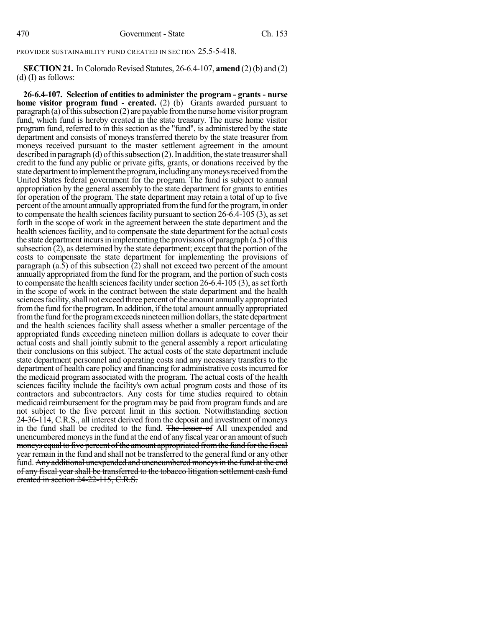PROVIDER SUSTAINABILITY FUND CREATED IN SECTION 25.5-5-418.

**SECTION 21.** In Colorado Revised Statutes, 26-6.4-107, **amend** (2) (b) and (2) (d) (I) as follows:

**26-6.4-107. Selection of entities to administer the program - grants - nurse home visitor program fund - created.** (2) (b) Grants awarded pursuant to paragraph (a) of this subsection (2) are payable from the nurse home visitor program fund, which fund is hereby created in the state treasury. The nurse home visitor program fund, referred to in this section as the "fund", is administered by the state department and consists of moneys transferred thereto by the state treasurer from moneys received pursuant to the master settlement agreement in the amount described in paragraph (d) of this subsection  $(2)$ . In addition, the state treasurer shall credit to the fund any public or private gifts, grants, or donations received by the state department to implement the program, including any moneys received from the United States federal government for the program. The fund is subject to annual appropriation by the general assembly to the state department for grants to entities for operation of the program. The state department may retain a total of up to five percent of the amount annually appropriated from the fund for the program, in order to compensate the health sciences facility pursuant to section  $26-\overline{6}$ .4-105 (3), as set forth in the scope of work in the agreement between the state department and the health sciences facility, and to compensate the state department for the actual costs the state department incurs in implementing the provisions of paragraph  $(a.5)$  of this subsection  $(2)$ , as determined by the state department; except that the portion of the costs to compensate the state department for implementing the provisions of paragraph  $(a.\overline{5})$  of this subsection  $\overline{(2)}$  shall not exceed two percent of the amount annually appropriated from the fund for the program, and the portion of such costs to compensate the health sciences facility under section  $26-6.\hat{4}-105$  (3), as set forth in the scope of work in the contract between the state department and the health sciences facility, shall not exceed three percent of the amount annually appropriated from the fund for the program. In addition, if the total amount annually appropriated from the fund for the program exceeds nineteen million dollars, the state department and the health sciences facility shall assess whether a smaller percentage of the appropriated funds exceeding nineteen million dollars is adequate to cover their actual costs and shall jointly submit to the general assembly a report articulating their conclusions on this subject. The actual costs of the state department include state department personnel and operating costs and any necessary transfers to the department of health care policy and financing for administrative costs incurred for the medicaid program associated with the program. The actual costs of the health sciences facility include the facility's own actual program costs and those of its contractors and subcontractors. Any costs for time studies required to obtain medicaid reimbursement for the program may be paid from program funds and are not subject to the five percent limit in this section. Notwithstanding section 24-36-114, C.R.S., all interest derived from the deposit and investment of moneys in the fund shall be credited to the fund. The lesser of All unexpended and unencumbered moneys in the fund at the end of any fiscal year or an amount of such moneys equal to five percent of the amount appropriated from the fund for the fiscal year remain in the fund and shall not be transferred to the general fund or any other fund. Any additional unexpended and unencumbered moneys in the fund at the end of any fiscal yearshall be transferred to the tobacco litigation settlement cash fund created in section 24-22-115, C.R.S.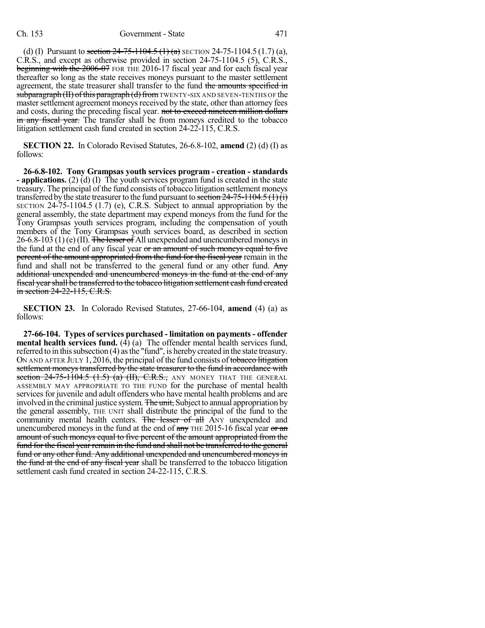#### Ch. 153 Government - State 471

(d) (I) Pursuant to section  $24-75-1104.5$  (1) (a) SECTION 24-75-1104.5 (1.7) (a), C.R.S., and except as otherwise provided in section 24-75-1104.5 (5), C.R.S., beginning with the 2006-07 FOR THE 2016-17 fiscal year and for each fiscal year thereafter so long as the state receives moneys pursuant to the master settlement agreement, the state treasurer shall transfer to the fund the amounts specified in  $subparam<sub>H</sub> (II) of this paragraph (d) from <sub>TWENTY-SIX AND SEVEN-TENTHS OF the</sub>$ master settlement agreement moneys received by the state, other than attorney fees and costs, during the preceding fiscal year. not to exceed nineteen million dollars in any fiscal year. The transfer shall be from moneys credited to the tobacco litigation settlement cash fund created in section 24-22-115, C.R.S.

**SECTION 22.** In Colorado Revised Statutes, 26-6.8-102, **amend** (2) (d) (I) as follows:

**26-6.8-102. Tony Grampsas youth services program - creation - standards - applications.** (2) (d) (I) The youth services program fund is created in the state treasury. The principal of the fund consists of tobacco litigation settlement moneys transferred by the state treasurer to the fund pursuant to section  $24-75-1104.5(1)(i)$ SECTION 24-75-1104.5 (1.7) (e), C.R.S. Subject to annual appropriation by the general assembly, the state department may expend moneys from the fund for the Tony Grampsas youth services program, including the compensation of youth members of the Tony Grampsas youth services board, as described in section  $26-6.8-103$  (1) (e) (II). The lesser of All unexpended and unencumbered moneys in the fund at the end of any fiscal year or an amount of such moneys equal to five percent of the amount appropriated from the fund for the fiscal year remain in the fund and shall not be transferred to the general fund or any other fund. Any additional unexpended and unencumbered moneys in the fund at the end of any fiscal year shall be transferred to the tobacco litigation settlement cash fund created in section 24-22-115, C.R.S.

**SECTION 23.** In Colorado Revised Statutes, 27-66-104, **amend** (4) (a) as follows:

**27-66-104. Types of services purchased - limitation on payments - offender mental health services fund.** (4) (a) The offender mental health services fund, referred to in this subsection (4) as the "fund", is hereby created in the state treasury. ON AND AFTER JULY 1, 2016, the principal of the fund consists of tobacco litigation settlement moneys transferred by the state treasurer to the fund in accordance with section  $24-75-1104.5$   $(1.5)$   $(a)$   $(H)$ , C.R.S., ANY MONEY THAT THE GENERAL ASSEMBLY MAY APPROPRIATE TO THE FUND for the purchase of mental health services for juvenile and adult offenders who have mental health problems and are involved in the criminal justice system. The unit, Subject to annual appropriation by the general assembly, THE UNIT shall distribute the principal of the fund to the community mental health centers. The lesser of all ANY unexpended and unencumbered moneys in the fund at the end of  $\frac{any}{m}$  THE 2015-16 fiscal year or  $\frac{an}{m}$ amount of such moneys equal to five percent of the amount appropriated from the fund for the fiscal year remain in the fund and shall not be transferred to the general fund or any other fund. Any additional unexpended and unencumbered moneys in the fund at the end of any fiscal year shall be transferred to the tobacco litigation settlement cash fund created in section 24-22-115, C.R.S.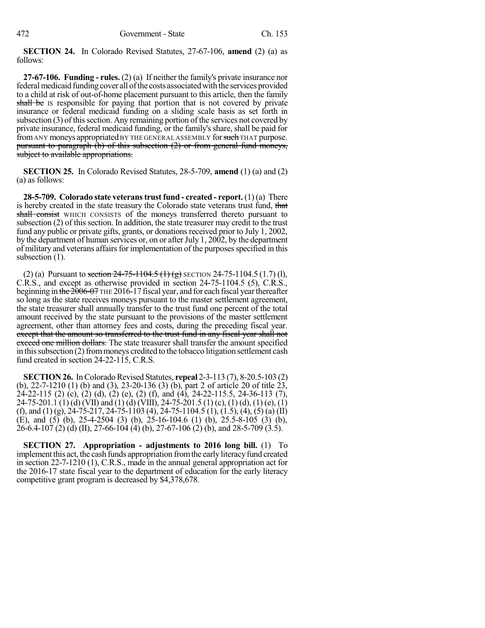**SECTION 24.** In Colorado Revised Statutes, 27-67-106, **amend** (2) (a) as follows:

**27-67-106. Funding - rules.** (2) (a) If neither the family's private insurance nor federal medicaid funding cover all of the costs associated with the services provided to a child at risk of out-of-home placement pursuant to this article, then the family shall be IS responsible for paying that portion that is not covered by private insurance or federal medicaid funding on a sliding scale basis as set forth in subsection  $(3)$  of this section. Any remaining portion of the services not covered by private insurance, federal medicaid funding, or the family's share, shall be paid for from ANY moneys appropriated BY THE GENERAL ASSEMBLY for such THAT purpose. pursuant to paragraph (b) of this subsection (2) or from general fund moneys, subject to available appropriations.

**SECTION 25.** In Colorado Revised Statutes, 28-5-709, **amend** (1) (a) and (2) (a) as follows:

**28-5-709. Colorado state veteranstrust fund - created - report.** (1) (a) There is hereby created in the state treasury the Colorado state veterans trust fund, that shall consist WHICH CONSISTS of the moneys transferred thereto pursuant to subsection (2) of this section. In addition, the state treasurer may credit to the trust fund any public or private gifts, grants, or donations received prior to July 1, 2002, by the department of human services or, on or after July 1, 2002, by the department of military and veterans affairs for implementation of the purposes specified in this subsection (1).

(2) (a) Pursuant to section  $24-75-1104.5$  (1) (g) SECTION 24-75-1104.5 (1.7) (l), C.R.S., and except as otherwise provided in section 24-75-1104.5 (5), C.R.S., beginning in the 2006-07 THE 2016-17 fiscal year, and for each fiscal year thereafter so long as the state receives moneys pursuant to the master settlement agreement, the state treasurer shall annually transfer to the trust fund one percent of the total amount received by the state pursuant to the provisions of the master settlement agreement, other than attorney fees and costs, during the preceding fiscal year. except that the amount so transferred to the trust fund in any fiscal year shall not exceed one million dollars. The state treasurer shall transfer the amount specified in this subsection  $(2)$  from moneys credited to the tobacco litigation settlement cash fund created in section 24-22-115, C.R.S.

**SECTION 26.** In Colorado Revised Statutes, **repeal** 2-3-113 (7), 8-20.5-103 (2) (b), 22-7-1210 (1) (b) and (3), 23-20-136 (3) (b), part 2 of article 20 of title 23, 24-22-115 (2) (c), (2) (d), (2) (e), (2) (f), and (4), 24-22-115.5, 24-36-113 (7), 24-75-201.1 (1) (d) (VII) and (1) (d) (VIII), 24-75-201.5 (1) (c), (1) (d), (1) (e), (1) (f), and (1) (g), 24-75-217, 24-75-1103 (4), 24-75-1104.5 (1), (1.5), (4), (5) (a) (II) (E), and (5) (b), 25-4-2504 (3) (b), 25-16-104.6 (1) (b), 25.5-8-105 (3) (b),  $26-6.4-107$  (2) (d) (II), 27-66-104 (4) (b), 27-67-106 (2) (b), and 28-5-709 (3.5).

**SECTION 27. Appropriation - adjustments to 2016 long bill.** (1) To implement this act, the cash funds appropriation from the early literacy fund created in section 22-7-1210 (1), C.R.S., made in the annual general appropriation act for the 2016-17 state fiscal year to the department of education for the early literacy competitive grant program is decreased by \$4,378,678.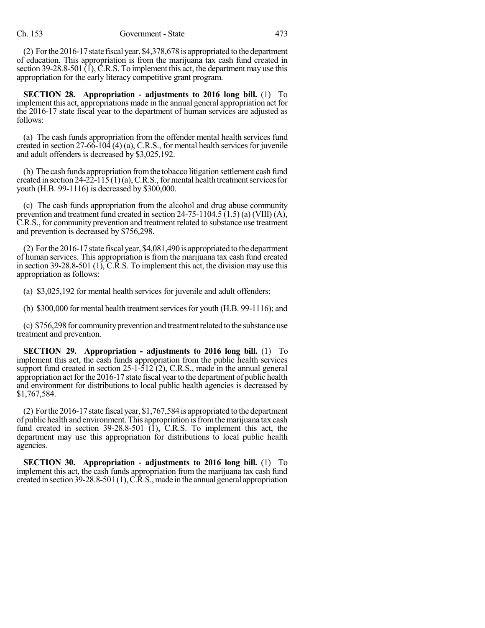(2) Forthe 2016-17state fiscal year, \$4,378,678 is appropriated to the department of education. This appropriation is from the marijuana tax cash fund created in section 39-28.8-501 (1), C.R.S. To implement this act, the department may use this appropriation for the early literacy competitive grant program.

**SECTION 28. Appropriation - adjustments to 2016 long bill.** (1) To implement this act, appropriations made in the annual general appropriation act for the 2016-17 state fiscal year to the department of human services are adjusted as follows:

(a) The cash funds appropriation from the offender mental health services fund created in section  $27-66-104$  (4) (a), C.R.S., for mental health services for juvenile and adult offenders is decreased by \$3,025,192.

(b) The cash funds appropriation fromthe tobacco litigation settlement cash fund created in section 24-22-115 (1)(a), C.R.S., for mental health treatment services for youth (H.B. 99-1116) is decreased by \$300,000.

(c) The cash funds appropriation from the alcohol and drug abuse community prevention and treatment fund created in section  $24-75-1104.5(1.5)$  (a) (VIII) (A), C.R.S., for community prevention and treatment related to substance use treatment and prevention is decreased by \$756,298.

(2) For the  $2016-17$  state fiscal year, \$4,081,490 is appropriated to the department of human services. This appropriation is from the marijuana tax cash fund created in section 39-28.8-501 (1), C.R.S. To implement this act, the division may use this appropriation as follows:

(a) \$3,025,192 for mental health services for juvenile and adult offenders;

(b)  $$300,000$  for mental health treatment services for youth (H.B. 99-1116); and

(c) \$756,298 for community prevention and treatment related to the substance use treatment and prevention.

**SECTION 29. Appropriation - adjustments to 2016 long bill.** (1) To implement this act, the cash funds appropriation from the public health services support fund created in section  $25$ -1-512 (2), C.R.S., made in the annual general appropriation act for the 2016-17 state fiscal year to the department of public health and environment for distributions to local public health agencies is decreased by \$1,767,584.

(2) Forthe2016-17state fiscal year, \$1,767,584 is appropriated to the department of public health and environment. This appropriation isfromthemarijuana tax cash fund created in section  $39-28.8-501$  (1), C.R.S. To implement this act, the department may use this appropriation for distributions to local public health agencies.

**SECTION 30. Appropriation - adjustments to 2016 long bill.** (1) To implement this act, the cash funds appropriation from the marijuana tax cash fund created in section 39-28.8-501 (1),  $\angle$ C.R.S., made in the annual general appropriation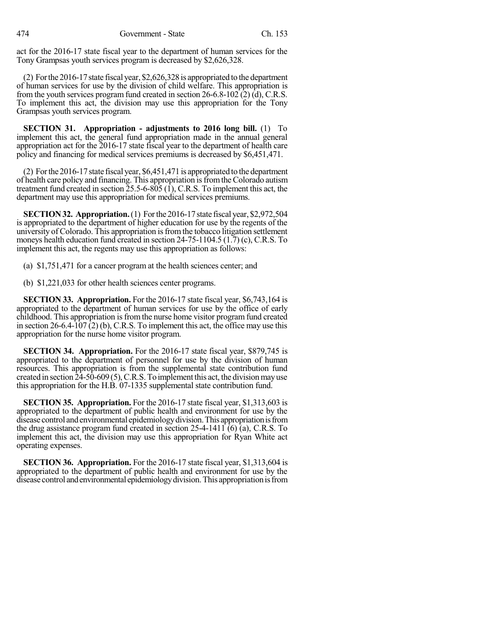act for the 2016-17 state fiscal year to the department of human services for the Tony Grampsas youth services program is decreased by \$2,626,328.

(2) Forthe2016-17state fiscal year, \$2,626,328 is appropriated to the department of human services for use by the division of child welfare. This appropriation is from the youth services program fund created in section  $26-6.8-102(2)(d)$ , C.R.S. To implement this act, the division may use this appropriation for the Tony Grampsas youth services program.

**SECTION 31. Appropriation - adjustments to 2016 long bill.** (1) To implement this act, the general fund appropriation made in the annual general appropriation act for the 2016-17 state fiscal year to the department of health care policy and financing for medical services premiums is decreased by \$6,451,471.

(2) Forthe2016-17state fiscal year, \$6,451,471 is appropriated to the department of health care policy and financing. This appropriation isfromthe Colorado autism treatment fund created in section  $25.5-6-805$  (1), C.R.S. To implement this act, the department may use this appropriation for medical services premiums.

**SECTION32. Appropriation.**(1) Forthe 2016-17 state fiscal year, \$2,972,504 is appropriated to the department of higher education for use by the regents of the university of Colorado. This appropriation isfromthe tobacco litigation settlement moneys health education fund created in section 24-75-1104.5 (1.7) (c), C.R.S. To implement this act, the regents may use this appropriation as follows:

(a) \$1,751,471 for a cancer program at the health sciences center; and

(b) \$1,221,033 for other health sciences center programs.

**SECTION 33. Appropriation.** For the 2016-17 state fiscal year, \$6,743,164 is appropriated to the department of human services for use by the office of early childhood. This appropriation is from the nurse home visitor program fund created in section 26-6.4-107 (2) (b), C.R.S. To implement this act, the office may use this appropriation for the nurse home visitor program.

**SECTION 34. Appropriation.** For the 2016-17 state fiscal year, \$879,745 is appropriated to the department of personnel for use by the division of human resources. This appropriation is from the supplemental state contribution fund created in section 24-50-609 (5), C.R.S. To implement this act, the division may use this appropriation for the H.B. 07-1335 supplemental state contribution fund.

**SECTION 35. Appropriation.** For the 2016-17 state fiscal year, \$1,313,603 is appropriated to the department of public health and environment for use by the disease control andenvironmental epidemiologydivision.This appropriationisfrom the drug assistance program fund created in section 25-4-1411 (6) (a), C.R.S. To implement this act, the division may use this appropriation for Ryan White act operating expenses.

**SECTION 36. Appropriation.** For the 2016-17 state fiscal year, \$1,313,604 is appropriated to the department of public health and environment for use by the disease control and environmental epidemiology division. This appropriation is from